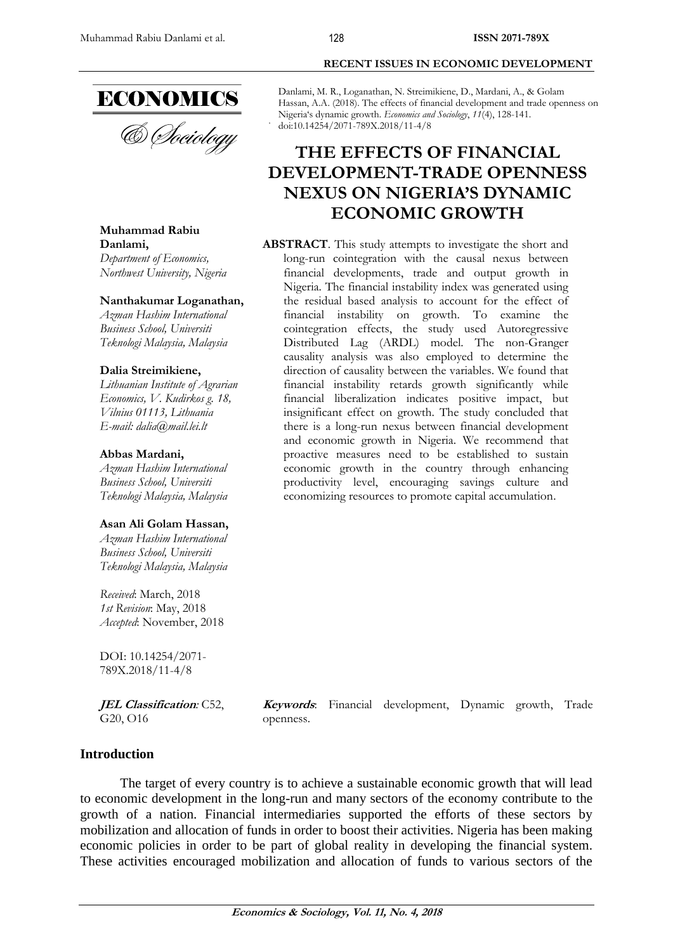

& *Dociology* 

**Muhammad Rabiu Danlami,** *Department of Economics,* 

*Northwest University, Nigeria*

### **Nanthakumar Loganathan,**

*Azman Hashim International Business School, Universiti Teknologi Malaysia, Malaysia*

### **Dalia Streimikiene,**

*Lithuanian Institute of Agrarian Economics, V. Kudirkos g. 18, Vilnius 01113, Lithuania E-mail: dalia@mail.lei.lt*

### **Abbas Mardani,**

*Azman Hashim International Business School, Universiti Teknologi Malaysia, Malaysia*

### **Asan Ali Golam Hassan,**

*Azman Hashim International Business School, Universiti Teknologi Malaysia, Malaysia*

*Received*: March, 2018 *1st Revision*: May, 2018 *Accepted*: November, 2018

DOI: 10.14254/2071- 789X.2018/11-4/8

**JEL Classification***:* C52, G20, O16

**Keywords**: Financial development, Dynamic growth, Trade openness.

# **Introduction**

The target of every country is to achieve a sustainable economic growth that will lead to economic development in the long-run and many sectors of the economy contribute to the growth of a nation. Financial intermediaries supported the efforts of these sectors by mobilization and allocation of funds in order to boost their activities. Nigeria has been making economic policies in order to be part of global reality in developing the financial system. These activities encouraged mobilization and allocation of funds to various sectors of the

Danlami, M. R., Loganathan, N. Streimikiene, D., Mardani, A., & Golam Hassan, A.A. (2018). The effects of financial development and trade openness on Nigeria's dynamic growth. *Economics and Sociology*, *11*(4), 128-141. doi:10.14254/2071-789X.2018/11-4/8

# **THE EFFECTS OF FINANCIAL DEVELOPMENT-TRADE OPENNESS NEXUS ON NIGERIA'S DYNAMIC ECONOMIC GROWTH**

**ABSTRACT**. This study attempts to investigate the short and long-run cointegration with the causal nexus between financial developments, trade and output growth in Nigeria. The financial instability index was generated using the residual based analysis to account for the effect of financial instability on growth. To examine the cointegration effects, the study used Autoregressive Distributed Lag (ARDL) model. The non-Granger causality analysis was also employed to determine the direction of causality between the variables. We found that financial instability retards growth significantly while financial liberalization indicates positive impact, but insignificant effect on growth. The study concluded that there is a long-run nexus between financial development and economic growth in Nigeria. We recommend that proactive measures need to be established to sustain economic growth in the country through enhancing productivity level, encouraging savings culture and economizing resources to promote capital accumulation.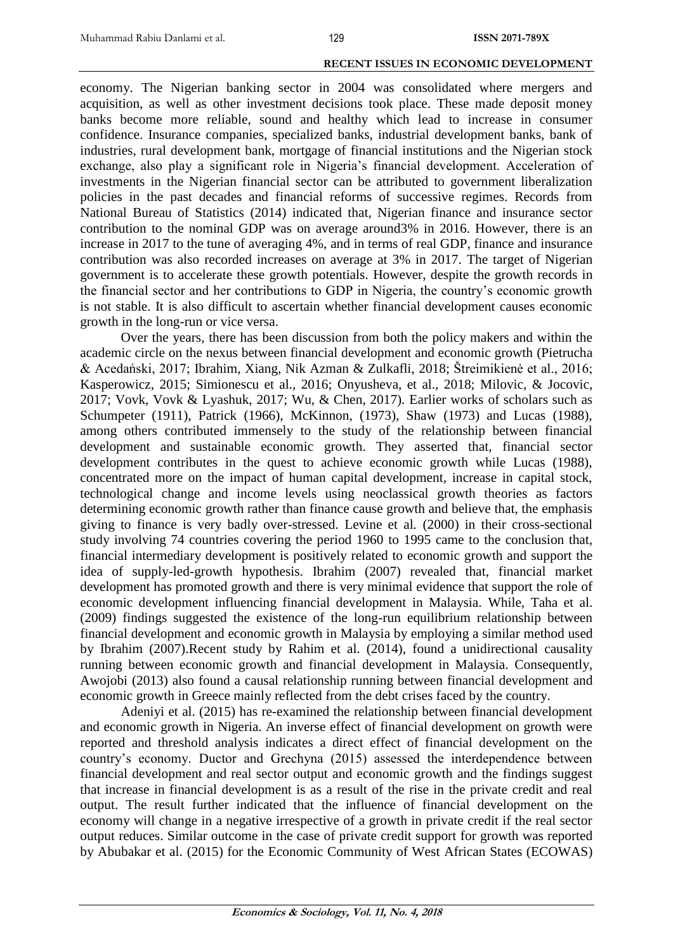economy. The Nigerian banking sector in 2004 was consolidated where mergers and acquisition, as well as other investment decisions took place. These made deposit money banks become more reliable, sound and healthy which lead to increase in consumer confidence. Insurance companies, specialized banks, industrial development banks, bank of industries, rural development bank, mortgage of financial institutions and the Nigerian stock exchange, also play a significant role in Nigeria's financial development. Acceleration of investments in the Nigerian financial sector can be attributed to government liberalization policies in the past decades and financial reforms of successive regimes. Records from National Bureau of Statistics (2014) indicated that, Nigerian finance and insurance sector contribution to the nominal GDP was on average around3% in 2016. However, there is an increase in 2017 to the tune of averaging 4%, and in terms of real GDP, finance and insurance contribution was also recorded increases on average at 3% in 2017. The target of Nigerian government is to accelerate these growth potentials. However, despite the growth records in the financial sector and her contributions to GDP in Nigeria, the country's economic growth is not stable. It is also difficult to ascertain whether financial development causes economic growth in the long-run or vice versa.

Over the years, there has been discussion from both the policy makers and within the academic circle on the nexus between financial development and economic growth (Pietrucha & Acedański, 2017; Ibrahim, Xiang, Nik Azman & Zulkafli, 2018; Štreimikienė et al., 2016; Kasperowicz, 2015; Simionescu et al., 2016; Onyusheva, et al., 2018; Milovic, & Jocovic, 2017; Vovk, Vovk & Lyashuk, 2017; Wu, & Chen, 2017)*.* Earlier works of scholars such as Schumpeter (1911), Patrick (1966), McKinnon, (1973), Shaw (1973) and Lucas (1988), among others contributed immensely to the study of the relationship between financial development and sustainable economic growth. They asserted that, financial sector development contributes in the quest to achieve economic growth while Lucas (1988), concentrated more on the impact of human capital development, increase in capital stock, technological change and income levels using neoclassical growth theories as factors determining economic growth rather than finance cause growth and believe that, the emphasis giving to finance is very badly over-stressed. Levine et al*.* (2000) in their cross-sectional study involving 74 countries covering the period 1960 to 1995 came to the conclusion that, financial intermediary development is positively related to economic growth and support the idea of supply-led-growth hypothesis. Ibrahim (2007) revealed that, financial market development has promoted growth and there is very minimal evidence that support the role of economic development influencing financial development in Malaysia. While, Taha et al. (2009) findings suggested the existence of the long-run equilibrium relationship between financial development and economic growth in Malaysia by employing a similar method used by Ibrahim (2007).Recent study by Rahim et al. (2014), found a unidirectional causality running between economic growth and financial development in Malaysia. Consequently, Awojobi (2013) also found a causal relationship running between financial development and economic growth in Greece mainly reflected from the debt crises faced by the country.

Adeniyi et al. (2015) has re-examined the relationship between financial development and economic growth in Nigeria. An inverse effect of financial development on growth were reported and threshold analysis indicates a direct effect of financial development on the country's economy. Ductor and Grechyna (2015) assessed the interdependence between financial development and real sector output and economic growth and the findings suggest that increase in financial development is as a result of the rise in the private credit and real output. The result further indicated that the influence of financial development on the economy will change in a negative irrespective of a growth in private credit if the real sector output reduces. Similar outcome in the case of private credit support for growth was reported by Abubakar et al. (2015) for the Economic Community of West African States (ECOWAS)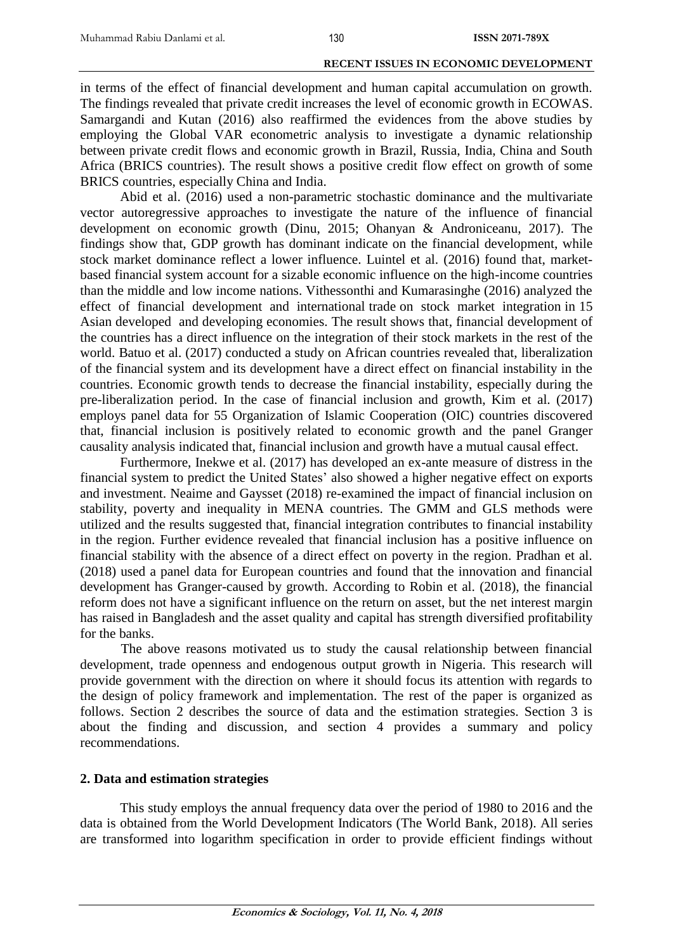in terms of the effect of financial development and human capital accumulation on growth. The findings revealed that private credit increases the level of economic growth in ECOWAS. Samargandi and Kutan (2016) also reaffirmed the evidences from the above studies by employing the Global VAR econometric analysis to investigate a dynamic relationship between private credit flows and economic growth in Brazil, Russia, India, China and South Africa (BRICS countries). The result shows a positive credit flow effect on growth of some BRICS countries, especially China and India.

130

Abid et al. (2016) used a non-parametric stochastic dominance and the multivariate vector autoregressive approaches to investigate the nature of the influence of financial development on economic growth (Dinu, 2015; Ohanyan & Androniceanu, 2017). The findings show that, GDP growth has dominant indicate on the financial development, while stock market dominance reflect a lower influence. Luintel et al. (2016) found that, marketbased financial system account for a sizable economic influence on the high-income countries than the middle and low income nations. Vithessonthi and Kumarasinghe (2016) analyzed the effect of financial development and international trade on stock market integration in 15 Asian developed and developing economies. The result shows that, financial development of the countries has a direct influence on the integration of their stock markets in the rest of the world. Batuo et al. (2017) conducted a study on African countries revealed that, liberalization of the financial system and its development have a direct effect on financial instability in the countries. Economic growth tends to decrease the financial instability, especially during the pre-liberalization period. In the case of financial inclusion and growth, Kim et al. (2017) employs panel data for 55 Organization of Islamic Cooperation (OIC) countries discovered that, financial inclusion is positively related to economic growth and the panel Granger causality analysis indicated that, financial inclusion and growth have a mutual causal effect.

Furthermore, Inekwe et al. (2017) has developed an ex-ante measure of distress in the financial system to predict the United States' also showed a higher negative effect on exports and investment. Neaime and Gaysset (2018) re-examined the impact of financial inclusion on stability, poverty and inequality in MENA countries. The GMM and GLS methods were utilized and the results suggested that, financial integration contributes to financial instability in the region. Further evidence revealed that financial inclusion has a positive influence on financial stability with the absence of a direct effect on poverty in the region. Pradhan et al. (2018) used a panel data for European countries and found that the innovation and financial development has Granger-caused by growth. According to Robin et al. (2018), the financial reform does not have a significant influence on the return on asset, but the net interest margin has raised in Bangladesh and the asset quality and capital has strength diversified profitability for the banks.

The above reasons motivated us to study the causal relationship between financial development, trade openness and endogenous output growth in Nigeria. This research will provide government with the direction on where it should focus its attention with regards to the design of policy framework and implementation. The rest of the paper is organized as follows. Section 2 describes the source of data and the estimation strategies. Section 3 is about the finding and discussion, and section 4 provides a summary and policy recommendations.

# **2. Data and estimation strategies**

This study employs the annual frequency data over the period of 1980 to 2016 and the data is obtained from the World Development Indicators (The World Bank, 2018). All series are transformed into logarithm specification in order to provide efficient findings without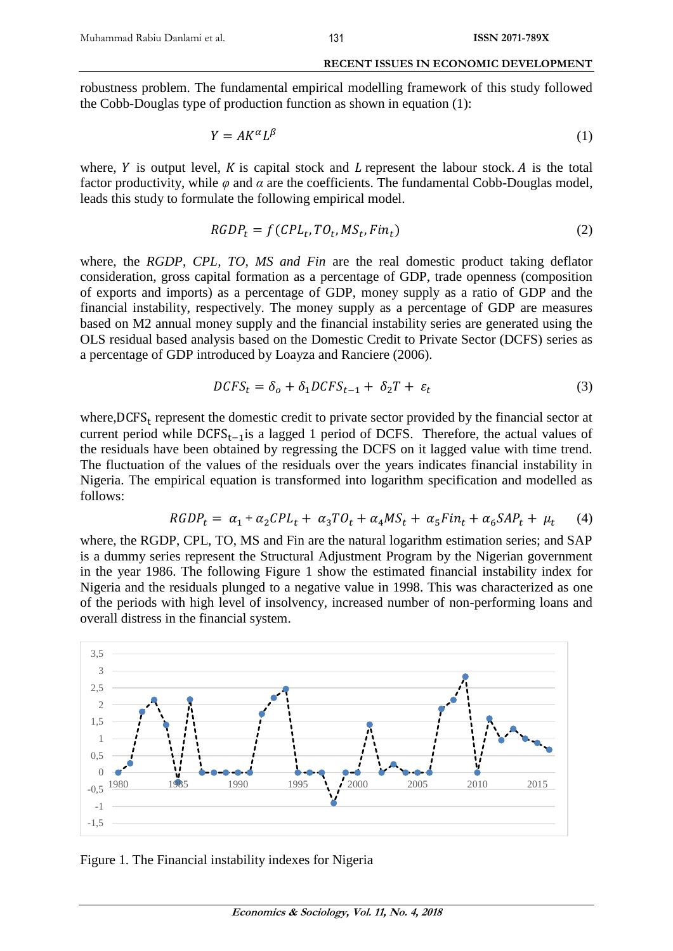robustness problem. The fundamental empirical modelling framework of this study followed the Cobb-Douglas type of production function as shown in equation (1):

131

$$
Y = AK^{\alpha}L^{\beta} \tag{1}
$$

where,  $Y$  is output level,  $K$  is capital stock and  $L$  represent the labour stock.  $A$  is the total factor productivity, while  $\varphi$  and  $\alpha$  are the coefficients. The fundamental Cobb-Douglas model, leads this study to formulate the following empirical model.

$$
RGDP_t = f(CPL_t, TO_t, MS_t, Fin_t)
$$
\n
$$
(2)
$$

where, the *RGDP*, *CPL, TO, MS and Fin* are the real domestic product taking deflator consideration, gross capital formation as a percentage of GDP, trade openness (composition of exports and imports) as a percentage of GDP, money supply as a ratio of GDP and the financial instability, respectively. The money supply as a percentage of GDP are measures based on M2 annual money supply and the financial instability series are generated using the OLS residual based analysis based on the Domestic Credit to Private Sector (DCFS) series as a percentage of GDP introduced by Loayza and Ranciere (2006).

$$
DCFS_t = \delta_o + \delta_1 DCFS_{t-1} + \delta_2 T + \varepsilon_t \tag{3}
$$

where,  $DCFS_t$  represent the domestic credit to private sector provided by the financial sector at current period while  $DCFS_{t-1}$ is a lagged 1 period of DCFS. Therefore, the actual values of the residuals have been obtained by regressing the DCFS on it lagged value with time trend. The fluctuation of the values of the residuals over the years indicates financial instability in Nigeria. The empirical equation is transformed into logarithm specification and modelled as follows:

$$
RGDP_t = \alpha_1 + \alpha_2 CPL_t + \alpha_3 TO_t + \alpha_4 MS_t + \alpha_5 Fin_t + \alpha_6 SAP_t + \mu_t \tag{4}
$$

where, the RGDP, CPL, TO, MS and Fin are the natural logarithm estimation series; and SAP is a dummy series represent the Structural Adjustment Program by the Nigerian government in the year 1986. The following Figure 1 show the estimated financial instability index for Nigeria and the residuals plunged to a negative value in 1998. This was characterized as one of the periods with high level of insolvency, increased number of non-performing loans and overall distress in the financial system.



Figure 1. The Financial instability indexes for Nigeria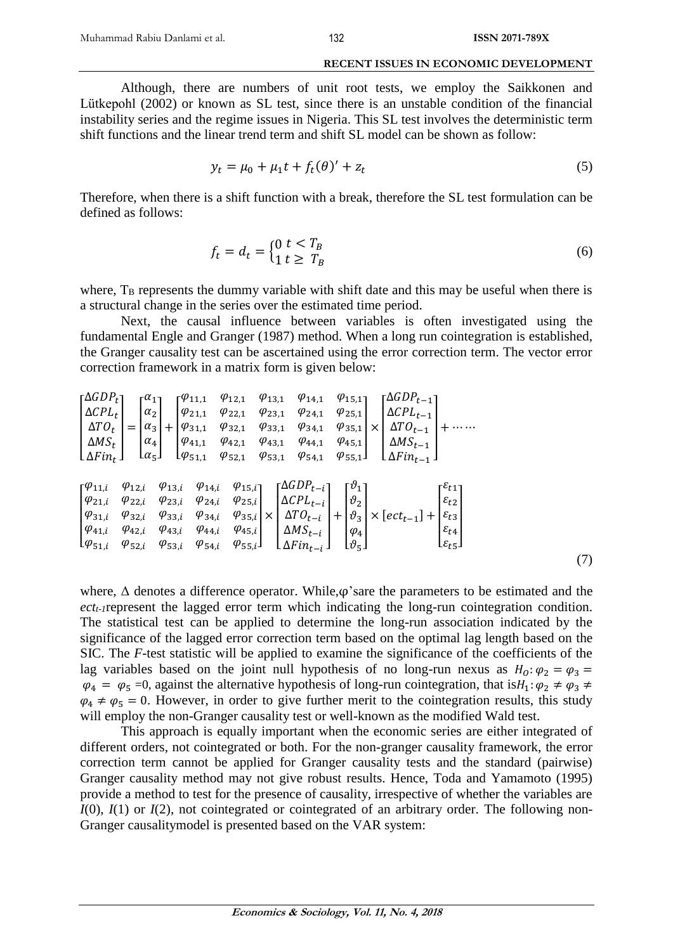Although, there are numbers of unit root tests, we employ the Saikkonen and Lütkepohl (2002) or known as SL test, since there is an unstable condition of the financial instability series and the regime issues in Nigeria. This SL test involves the deterministic term shift functions and the linear trend term and shift SL model can be shown as follow:

$$
y_t = \mu_0 + \mu_1 t + f_t(\theta)' + z_t \tag{5}
$$

Therefore, when there is a shift function with a break, therefore the SL test formulation can be defined as follows:

$$
f_t = d_t = \begin{cases} 0 & t < T_B \\ 1 & t \ge T_B \end{cases} \tag{6}
$$

where,  $T_B$  represents the dummy variable with shift date and this may be useful when there is a structural change in the series over the estimated time period.

Next, the causal influence between variables is often investigated using the fundamental Engle and Granger (1987) method. When a long run cointegration is established, the Granger causality test can be ascertained using the error correction term. The vector error correction framework in a matrix form is given below:

$$
\begin{bmatrix}\n\Delta GDP_{t} \\
\Delta CPL_{t} \\
\Delta TO_{t} \\
\Delta M S_{t} \\
\Delta Fin_{t}\n\end{bmatrix} = \begin{bmatrix}\n\alpha_{1} \\
\alpha_{2} \\
\alpha_{3} \\
\alpha_{4} \\
\alpha_{5}\n\end{bmatrix} + \begin{bmatrix}\n\varphi_{11,1} & \varphi_{12,1} & \varphi_{13,1} & \varphi_{14,1} & \varphi_{15,1} \\
\varphi_{21,1} & \varphi_{22,1} & \varphi_{23,1} & \varphi_{24,1} & \varphi_{25,1} \\
\varphi_{31,1} & \varphi_{32,1} & \varphi_{33,1} & \varphi_{34,1} & \varphi_{35,1} \\
\varphi_{41,1} & \varphi_{42,1} & \varphi_{43,1} & \varphi_{44,1} & \varphi_{45,1} \\
\varphi_{51,1} & \varphi_{52,1} & \varphi_{53,1} & \varphi_{54,1} & \varphi_{55,1}\n\end{bmatrix} \times \begin{bmatrix}\n\Delta GDP_{t-1} \\
\Delta TOP_{t-1} \\
\Delta M S_{t-1} \\
\Delta Min_{t-1}\n\end{bmatrix} + \cdots
$$
\n
$$
\begin{bmatrix}\n\varphi_{11,i} & \varphi_{12,i} & \varphi_{13,i} & \varphi_{14,i} & \varphi_{15,i} \\
\varphi_{21,i} & \varphi_{22,i} & \varphi_{23,i} & \varphi_{24,i} & \varphi_{25,i} \\
\varphi_{31,i} & \varphi_{32,i} & \varphi_{33,i} & \varphi_{34,i} & \varphi_{35,i} \\
\varphi_{41,i} & \varphi_{42,i} & \varphi_{43,i} & \varphi_{44,i} & \varphi_{45,i} \\
\varphi_{51,i} & \varphi_{52,i} & \varphi_{53,i} & \varphi_{54,i} & \varphi_{55,i}\n\end{bmatrix} \times \begin{bmatrix}\n\Delta GDP_{t-i} \\
\Delta CD_{t-i} \\
\Delta T O_{t-i} \\
\Delta F i n_{t-i}\n\end{bmatrix} + \begin{bmatrix}\n\varphi_{1} \\
\varphi_{2} \\
\varphi_{3} \\
\varphi_{4}\n\end{bmatrix} \times \begin{bmatrix}\
$$

where,  $\Delta$  denotes a difference operator. While, $\varphi$ 's are the parameters to be estimated and the *ectt-1*represent the lagged error term which indicating the long-run cointegration condition. The statistical test can be applied to determine the long-run association indicated by the significance of the lagged error correction term based on the optimal lag length based on the SIC. The *F-*test statistic will be applied to examine the significance of the coefficients of the lag variables based on the joint null hypothesis of no long-run nexus as  $H_0: \varphi_2 = \varphi_3 =$  $\varphi_4 = \varphi_5 = 0$ , against the alternative hypothesis of long-run cointegration, that is $H_1: \varphi_2 \neq \varphi_3 \neq$  $\varphi_4 \neq \varphi_5 = 0$ . However, in order to give further merit to the cointegration results, this study will employ the non-Granger causality test or well-known as the modified Wald test.

This approach is equally important when the economic series are either integrated of different orders, not cointegrated or both. For the non-granger causality framework, the error correction term cannot be applied for Granger causality tests and the standard (pairwise) Granger causality method may not give robust results. Hence, Toda and Yamamoto (1995) provide a method to test for the presence of causality, irrespective of whether the variables are  $I(0)$ ,  $I(1)$  or  $I(2)$ , not cointegrated or cointegrated of an arbitrary order. The following non-Granger causalitymodel is presented based on the VAR system: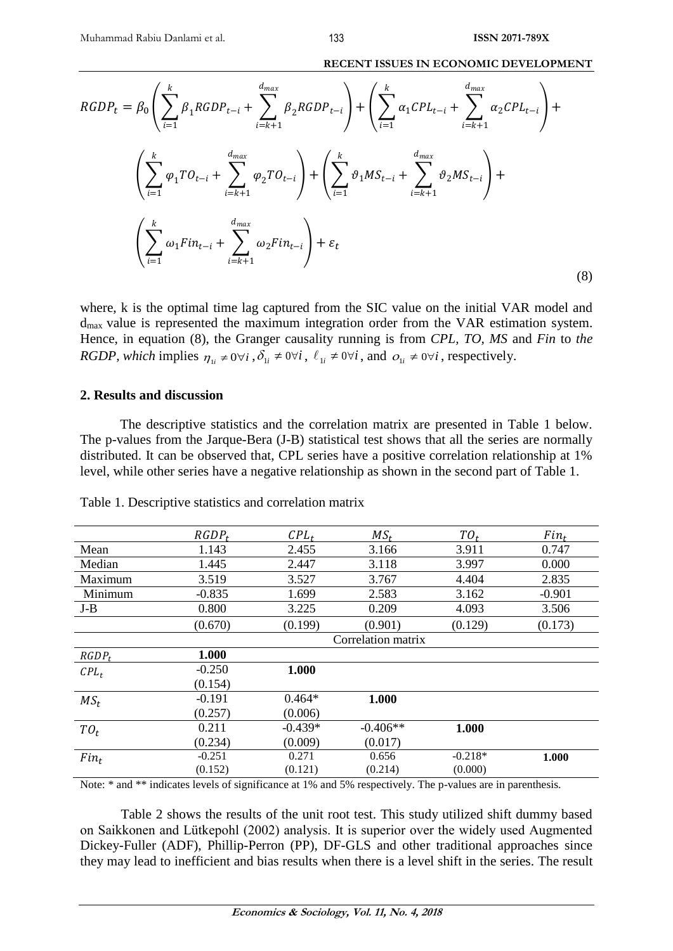$$
RGDP_{t} = \beta_{0} \left( \sum_{i=1}^{k} \beta_{1}RGDP_{t-i} + \sum_{i=k+1}^{d_{max}} \beta_{2}RGDP_{t-i} \right) + \left( \sum_{i=1}^{k} \alpha_{1} CPL_{t-i} + \sum_{i=k+1}^{d_{max}} \alpha_{2} CPL_{t-i} \right) + \left( \sum_{i=1}^{k} \varphi_{1} TO_{t-i} + \sum_{i=k+1}^{d_{max}} \varphi_{2} TO_{t-i} \right) + \left( \sum_{i=1}^{k} \vartheta_{1} MS_{t-i} + \sum_{i=k+1}^{d_{max}} \vartheta_{2} MS_{t-i} \right) + \left( \sum_{i=1}^{k} \omega_{1} Fin_{t-i} + \sum_{i=k+1}^{d_{max}} \omega_{2} Fin_{t-i} \right) + \varepsilon_{t}
$$
\n(8)

where, k is the optimal time lag captured from the SIC value on the initial VAR model and dmax value is represented the maximum integration order from the VAR estimation system. Hence, in equation (8), the Granger causality running is from *CPL, TO, MS* and *Fin* to *the RGDP, which* implies  $\eta_{1i} \neq 0 \forall i$ ,  $\delta_{1i} \neq 0 \forall i$ ,  $\ell_{1i} \neq 0 \forall i$ , and  $o_{1i} \neq 0 \forall i$ , respectively.

# **2. Results and discussion**

The descriptive statistics and the correlation matrix are presented in Table 1 below. The p-values from the Jarque-Bera (J-B) statistical test shows that all the series are normally distributed. It can be observed that, CPL series have a positive correlation relationship at 1% level, while other series have a negative relationship as shown in the second part of Table 1.

|          | $RGDP_t$ | $CPL_t$   | $MS_t$             | $TO_t$    | $Fin_t$  |
|----------|----------|-----------|--------------------|-----------|----------|
| Mean     | 1.143    | 2.455     | 3.166              | 3.911     | 0.747    |
| Median   | 1.445    | 2.447     | 3.118              | 3.997     | 0.000    |
| Maximum  | 3.519    | 3.527     | 3.767              | 4.404     | 2.835    |
| Minimum  | $-0.835$ | 1.699     | 2.583              | 3.162     | $-0.901$ |
| $J-B$    | 0.800    | 3.225     | 0.209              | 4.093     | 3.506    |
|          | (0.670)  | (0.199)   | (0.901)            | (0.129)   | (0.173)  |
|          |          |           | Correlation matrix |           |          |
| $RGDP_t$ | 1.000    |           |                    |           |          |
| $CPL_t$  | $-0.250$ | 1.000     |                    |           |          |
|          | (0.154)  |           |                    |           |          |
| $MS_t$   | $-0.191$ | $0.464*$  | 1.000              |           |          |
|          | (0.257)  | (0.006)   |                    |           |          |
| $TO_t$   | 0.211    | $-0.439*$ | $-0.406**$         | 1.000     |          |
|          | (0.234)  | (0.009)   | (0.017)            |           |          |
| $Fin_t$  | $-0.251$ | 0.271     | 0.656              | $-0.218*$ | 1.000    |
|          | (0.152)  | (0.121)   | (0.214)            | (0.000)   |          |

Table 1. Descriptive statistics and correlation matrix

Note: \* and \*\* indicates levels of significance at 1% and 5% respectively. The p-values are in parenthesis.

Table 2 shows the results of the unit root test. This study utilized shift dummy based on Saikkonen and Lütkepohl (2002) analysis. It is superior over the widely used Augmented Dickey-Fuller (ADF), Phillip-Perron (PP), DF-GLS and other traditional approaches since they may lead to inefficient and bias results when there is a level shift in the series. The result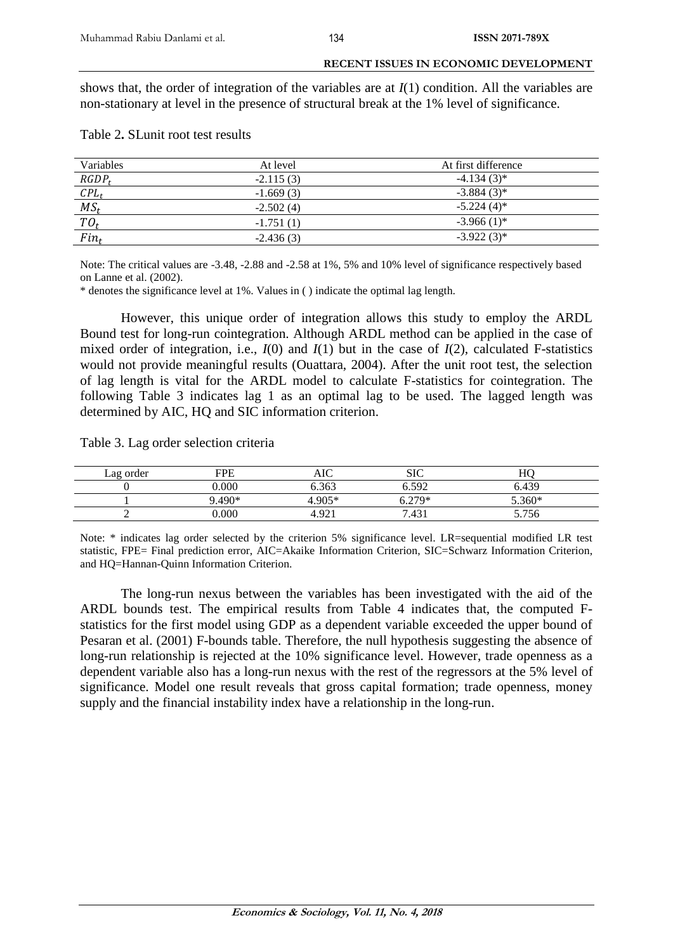shows that, the order of integration of the variables are at *I*(1) condition. All the variables are non-stationary at level in the presence of structural break at the 1% level of significance.

| Table 2. SLunit root test results |  |  |
|-----------------------------------|--|--|
|                                   |  |  |

| Variables         | At level    | At first difference |
|-------------------|-------------|---------------------|
| $RGDP_t$          | $-2.115(3)$ | $-4.134(3)$ *       |
| $\mathcal{C}PL_t$ | $-1.669(3)$ | $-3.884(3)$ *       |
| $MS_t$            | $-2.502(4)$ | $-5.224(4)^*$       |
| $TO_t$            | $-1.751(1)$ | $-3.966(1)$ *       |
| $Fin_t$           | $-2.436(3)$ | $-3.922(3)$ *       |

Note: The critical values are -3.48, -2.88 and -2.58 at 1%, 5% and 10% level of significance respectively based on Lanne et al. (2002).

\* denotes the significance level at 1%. Values in ( ) indicate the optimal lag length.

However, this unique order of integration allows this study to employ the ARDL Bound test for long-run cointegration. Although ARDL method can be applied in the case of mixed order of integration, i.e., *I*(0) and *I*(1) but in the case of *I*(2), calculated F-statistics would not provide meaningful results (Ouattara, 2004). After the unit root test, the selection of lag length is vital for the ARDL model to calculate F-statistics for cointegration. The following Table 3 indicates lag 1 as an optimal lag to be used. The lagged length was determined by AIC, HQ and SIC information criterion.

Table 3. Lag order selection criteria

| Lag order | <b>FPE</b> | AIC              | <b>SIC</b> | HC       |  |
|-----------|------------|------------------|------------|----------|--|
|           | 0.000      | 6.363            | 6.592      | 6.439    |  |
|           | 9.490*     | $4.905*$         | $5279*$    | $5.360*$ |  |
|           | 0.000      | $4.92^{\degree}$ | 7.431      | 5.756    |  |

Note: \* indicates lag order selected by the criterion 5% significance level. LR=sequential modified LR test statistic, FPE= Final prediction error, AIC=Akaike Information Criterion, SIC=Schwarz Information Criterion, and HQ=Hannan-Quinn Information Criterion.

The long-run nexus between the variables has been investigated with the aid of the ARDL bounds test. The empirical results from Table 4 indicates that, the computed Fstatistics for the first model using GDP as a dependent variable exceeded the upper bound of Pesaran et al. (2001) F-bounds table. Therefore, the null hypothesis suggesting the absence of long-run relationship is rejected at the 10% significance level. However, trade openness as a dependent variable also has a long-run nexus with the rest of the regressors at the 5% level of significance. Model one result reveals that gross capital formation; trade openness, money supply and the financial instability index have a relationship in the long-run.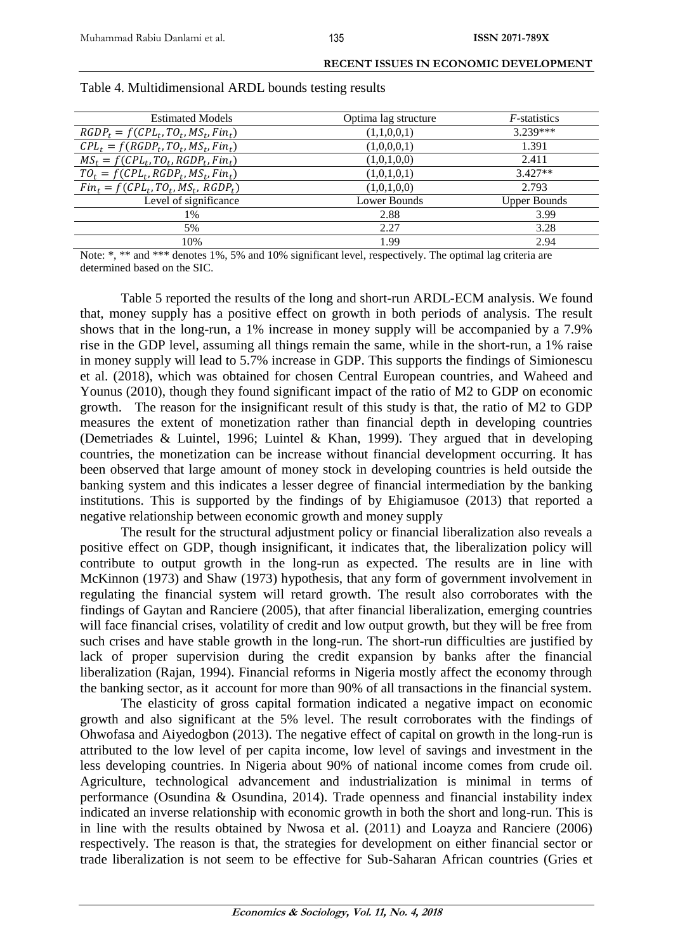| <b>Estimated Models</b>                | Optima lag structure | $F$ -statistics     |
|----------------------------------------|----------------------|---------------------|
| $RGDP_t = f(CPL_t, TO_t, MS_t, Fin_t)$ | (1,1,0,0,1)          | 3.239 ***           |
| $CPL_t = f(RGDP_t, TO_t, MS_t, Fin_t)$ | (1,0,0,0,1)          | 1.391               |
| $MS_t = f(CPL_t, TO_t, RGBP_t, Fin_t)$ | (1,0,1,0,0)          | 2.411               |
| $TO_t = f(CPL_t, RGBP_t, MS_t, Fin_t)$ | (1,0,1,0,1)          | $3.427**$           |
| $Fin_t = f(CPL_t, TO_t, MS_t, RGB_t)$  | (1,0,1,0,0)          | 2.793               |
| Level of significance                  | Lower Bounds         | <b>Upper Bounds</b> |
| 1%                                     | 2.88                 | 3.99                |
| 5%                                     | 2.27                 | 3.28                |
| 10%                                    | 1.99                 | 2.94                |

### Table 4. Multidimensional ARDL bounds testing results

Note: \*, \*\* and \*\*\* denotes 1%, 5% and 10% significant level, respectively. The optimal lag criteria are determined based on the SIC.

Table 5 reported the results of the long and short-run ARDL-ECM analysis. We found that, money supply has a positive effect on growth in both periods of analysis. The result shows that in the long-run, a 1% increase in money supply will be accompanied by a 7.9% rise in the GDP level, assuming all things remain the same, while in the short-run, a 1% raise in money supply will lead to 5.7% increase in GDP. This supports the findings of Simionescu et al. (2018), which was obtained for chosen Central European countries, and Waheed and Younus (2010), though they found significant impact of the ratio of M2 to GDP on economic growth. The reason for the insignificant result of this study is that, the ratio of M2 to GDP measures the extent of monetization rather than financial depth in developing countries (Demetriades & Luintel, 1996; Luintel & Khan, 1999). They argued that in developing countries, the monetization can be increase without financial development occurring. It has been observed that large amount of money stock in developing countries is held outside the banking system and this indicates a lesser degree of financial intermediation by the banking institutions. This is supported by the findings of by Ehigiamusoe (2013) that reported a negative relationship between economic growth and money supply

The result for the structural adjustment policy or financial liberalization also reveals a positive effect on GDP, though insignificant, it indicates that, the liberalization policy will contribute to output growth in the long-run as expected. The results are in line with McKinnon (1973) and Shaw (1973) hypothesis, that any form of government involvement in regulating the financial system will retard growth. The result also corroborates with the findings of Gaytan and Ranciere (2005), that after financial liberalization, emerging countries will face financial crises, volatility of credit and low output growth, but they will be free from such crises and have stable growth in the long-run. The short-run difficulties are justified by lack of proper supervision during the credit expansion by banks after the financial liberalization (Rajan, 1994). Financial reforms in Nigeria mostly affect the economy through the banking sector, as it account for more than 90% of all transactions in the financial system.

The elasticity of gross capital formation indicated a negative impact on economic growth and also significant at the 5% level. The result corroborates with the findings of Ohwofasa and Aiyedogbon (2013). The negative effect of capital on growth in the long-run is attributed to the low level of per capita income, low level of savings and investment in the less developing countries. In Nigeria about 90% of national income comes from crude oil. Agriculture, technological advancement and industrialization is minimal in terms of performance (Osundina & Osundina, 2014). Trade openness and financial instability index indicated an inverse relationship with economic growth in both the short and long-run. This is in line with the results obtained by Nwosa et al. (2011) and Loayza and Ranciere (2006) respectively. The reason is that, the strategies for development on either financial sector or trade liberalization is not seem to be effective for Sub-Saharan African countries (Gries et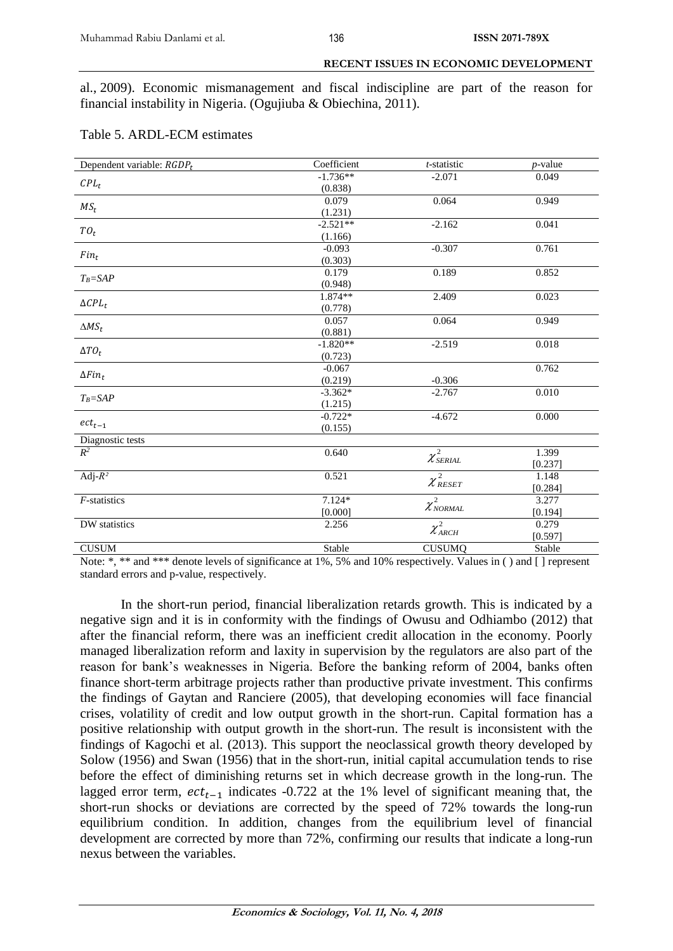al., 2009). Economic mismanagement and fiscal indiscipline are part of the reason for financial instability in Nigeria. (Ogujiuba & Obiechina, 2011).

| Dependent variable: $RGDP_t$ | Coefficient | t-statistic                          | <i>p</i> -value |
|------------------------------|-------------|--------------------------------------|-----------------|
|                              | $-1.736**$  | $-2.071$                             | 0.049           |
| $CPL_t$                      | (0.838)     |                                      |                 |
|                              | 0.079       | 0.064                                | 0.949           |
| $MS_t$                       | (1.231)     |                                      |                 |
|                              | $-2.521**$  | $-2.162$                             | 0.041           |
| $TO_t$                       | (1.166)     |                                      |                 |
|                              | $-0.093$    | $-0.307$                             | 0.761           |
| $Fin_t$                      | (0.303)     |                                      |                 |
| $T_B = SAP$                  | 0.179       | 0.189                                | 0.852           |
|                              | (0.948)     |                                      |                 |
|                              | 1.874**     | 2.409                                | 0.023           |
| $\Delta CPL_t$               | (0.778)     |                                      |                 |
| $\Delta MS_t$                | 0.057       | 0.064                                | 0.949           |
|                              | (0.881)     |                                      |                 |
| $\Delta T O_t$               | $-1.820**$  | $-2.519$                             | $0.018\,$       |
|                              | (0.723)     |                                      |                 |
| $\Delta Fin_t$               | $-0.067$    |                                      | 0.762           |
|                              | (0.219)     | $-0.306$                             |                 |
| $T_B = SAP$                  | $-3.362*$   | $-2.767$                             | 0.010           |
|                              | (1.215)     |                                      |                 |
|                              | $-0.722*$   | $-4.672$                             | 0.000           |
| $\mathit{ect}_{t-1}$         | (0.155)     |                                      |                 |
| Diagnostic tests             |             |                                      |                 |
| $R^2$                        | 0.640       | $\chi^2_{\rm SERIAL}$                | 1.399           |
|                              |             |                                      | [0.237]         |
| Adj- $R^2$                   | 0.521       | $\chi^2_{\scriptscriptstyle{RESET}}$ | 1.148           |
|                              |             |                                      | [0.284]         |
| $F$ -statistics              | $7.124*$    | $\chi^2_{\scriptscriptstyle NORMAL}$ | 3.277           |
|                              | [0.000]     |                                      | [0.194]         |
| DW statistics                | 2.256       | $\chi^2_{ARCH}$                      | 0.279           |
|                              |             |                                      | [0.597]         |
| <b>CUSUM</b>                 | Stable      | <b>CUSUMQ</b>                        | Stable          |

| Table 5. ARDL-ECM estimates |  |
|-----------------------------|--|
|-----------------------------|--|

Note: \*, \*\* and \*\*\* denote levels of significance at 1%, 5% and 10% respectively. Values in ( ) and [ ] represent standard errors and p-value, respectively.

In the short-run period, financial liberalization retards growth. This is indicated by a negative sign and it is in conformity with the findings of Owusu and Odhiambo (2012) that after the financial reform, there was an inefficient credit allocation in the economy. Poorly managed liberalization reform and laxity in supervision by the regulators are also part of the reason for bank's weaknesses in Nigeria. Before the banking reform of 2004, banks often finance short-term arbitrage projects rather than productive private investment. This confirms the findings of Gaytan and Ranciere (2005), that developing economies will face financial crises, volatility of credit and low output growth in the short-run. Capital formation has a positive relationship with output growth in the short-run. The result is inconsistent with the findings of Kagochi et al. (2013). This support the neoclassical growth theory developed by Solow (1956) and Swan (1956) that in the short-run, initial capital accumulation tends to rise before the effect of diminishing returns set in which decrease growth in the long-run. The lagged error term,  $ect_{t-1}$  indicates -0.722 at the 1% level of significant meaning that, the short-run shocks or deviations are corrected by the speed of 72% towards the long-run equilibrium condition. In addition, changes from the equilibrium level of financial development are corrected by more than 72%, confirming our results that indicate a long-run nexus between the variables.

136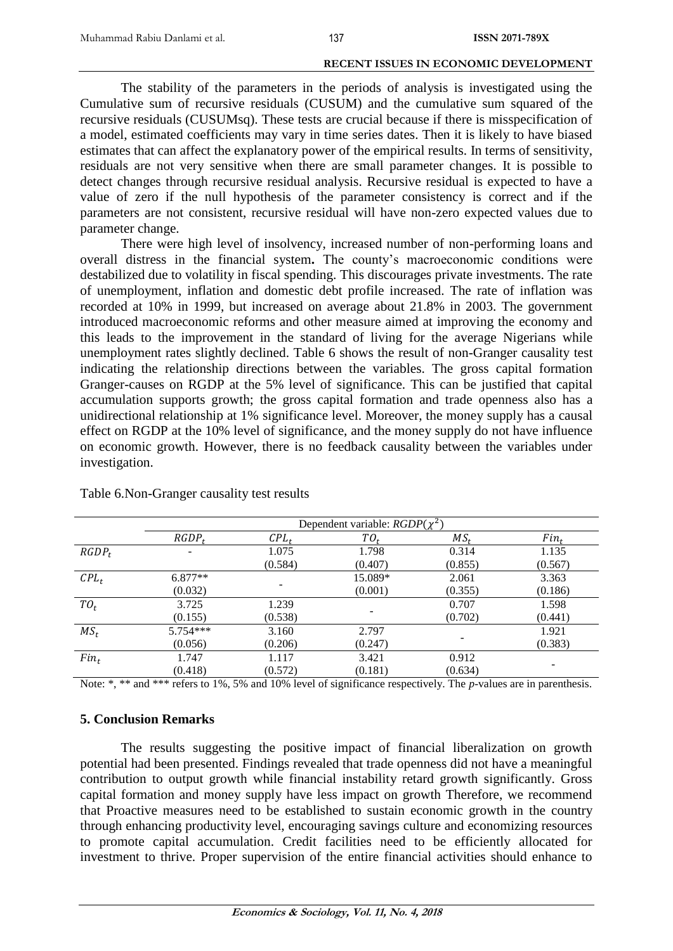The stability of the parameters in the periods of analysis is investigated using the Cumulative sum of recursive residuals (CUSUM) and the cumulative sum squared of the recursive residuals (CUSUMsq). These tests are crucial because if there is misspecification of a model, estimated coefficients may vary in time series dates. Then it is likely to have biased estimates that can affect the explanatory power of the empirical results. In terms of sensitivity, residuals are not very sensitive when there are small parameter changes. It is possible to detect changes through recursive residual analysis. Recursive residual is expected to have a value of zero if the null hypothesis of the parameter consistency is correct and if the parameters are not consistent, recursive residual will have non-zero expected values due to parameter change.

There were high level of insolvency, increased number of non-performing loans and overall distress in the financial system**.** The county's macroeconomic conditions were destabilized due to volatility in fiscal spending. This discourages private investments. The rate of unemployment, inflation and domestic debt profile increased. The rate of inflation was recorded at 10% in 1999, but increased on average about 21.8% in 2003. The government introduced macroeconomic reforms and other measure aimed at improving the economy and this leads to the improvement in the standard of living for the average Nigerians while unemployment rates slightly declined. Table 6 shows the result of non-Granger causality test indicating the relationship directions between the variables. The gross capital formation Granger-causes on RGDP at the 5% level of significance. This can be justified that capital accumulation supports growth; the gross capital formation and trade openness also has a unidirectional relationship at 1% significance level. Moreover, the money supply has a causal effect on RGDP at the 10% level of significance, and the money supply do not have influence on economic growth. However, there is no feedback causality between the variables under investigation.

|          | Dependent variable: $RGDP(\chi^2)$ |         |         |                 |         |
|----------|------------------------------------|---------|---------|-----------------|---------|
|          | $RGDP_t$                           | $CPL_t$ | $TO_t$  | MS <sub>r</sub> | $Fin_t$ |
| $RGDP_t$ | $\overline{\phantom{a}}$           | 1.075   | 1.798   | 0.314           | 1.135   |
|          |                                    | (0.584) | (0.407) | (0.855)         | (0.567) |
| $CPL_t$  | $6.877**$                          |         | 15.089* | 2.061           | 3.363   |
|          | (0.032)                            |         | (0.001) | (0.355)         | (0.186) |
| $TO_t$   | 3.725                              | 1.239   |         | 0.707           | 1.598   |
|          | (0.155)                            | (0.538) |         | (0.702)         | (0.441) |
| $MS_t$   | $5.754***$                         | 3.160   | 2.797   |                 | 1.921   |
|          | (0.056)                            | (0.206) | (0.247) |                 | (0.383) |
| $Fin_t$  | 1.747                              | 1.117   | 3.421   | 0.912           |         |
|          | (0.418)                            | (0.572) | (0.181) | (0.634)         |         |

Table 6.Non-Granger causality test results

Note: \*, \*\* and \*\*\* refers to 1%, 5% and 10% level of significance respectively. The *p*-values are in parenthesis.

# **5. Conclusion Remarks**

The results suggesting the positive impact of financial liberalization on growth potential had been presented. Findings revealed that trade openness did not have a meaningful contribution to output growth while financial instability retard growth significantly. Gross capital formation and money supply have less impact on growth Therefore, we recommend that Proactive measures need to be established to sustain economic growth in the country through enhancing productivity level, encouraging savings culture and economizing resources to promote capital accumulation. Credit facilities need to be efficiently allocated for investment to thrive. Proper supervision of the entire financial activities should enhance to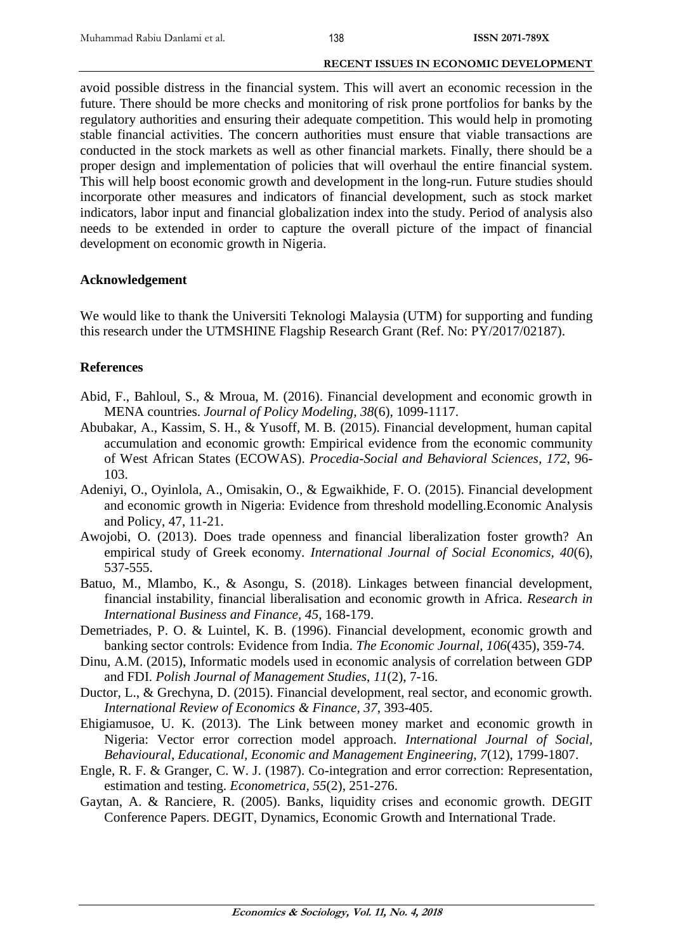avoid possible distress in the financial system. This will avert an economic recession in the future. There should be more checks and monitoring of risk prone portfolios for banks by the regulatory authorities and ensuring their adequate competition. This would help in promoting stable financial activities. The concern authorities must ensure that viable transactions are conducted in the stock markets as well as other financial markets. Finally, there should be a proper design and implementation of policies that will overhaul the entire financial system. This will help boost economic growth and development in the long-run. Future studies should incorporate other measures and indicators of financial development, such as stock market indicators, labor input and financial globalization index into the study. Period of analysis also needs to be extended in order to capture the overall picture of the impact of financial development on economic growth in Nigeria.

# **Acknowledgement**

We would like to thank the Universiti Teknologi Malaysia (UTM) for supporting and funding this research under the UTMSHINE Flagship Research Grant (Ref. No: PY/2017/02187).

# **References**

- Abid, F., Bahloul, S., & Mroua, M. (2016). Financial development and economic growth in MENA countries. *Journal of Policy Modeling, 38*(6), 1099-1117.
- Abubakar, A., Kassim, S. H., & Yusoff, M. B. (2015). Financial development, human capital accumulation and economic growth: Empirical evidence from the economic community of West African States (ECOWAS). *Procedia-Social and Behavioral Sciences, 172*, 96- 103.
- Adeniyi, O., Oyinlola, A., Omisakin, O., & Egwaikhide, F. O. (2015). Financial development and economic growth in Nigeria: Evidence from threshold modelling.Economic Analysis and Policy, 47, 11-21.
- Awojobi, O. (2013). Does trade openness and financial liberalization foster growth? An empirical study of Greek economy. *International Journal of Social Economics, 40*(6), 537-555.
- Batuo, M., Mlambo, K., & Asongu, S. (2018). Linkages between financial development, financial instability, financial liberalisation and economic growth in Africa. *Research in International Business and Finance, 45*, 168-179.
- Demetriades, P. O. & Luintel, K. B. (1996). Financial development, economic growth and banking sector controls: Evidence from India. *The Economic Journal, 106*(435), 359-74.
- Dinu, A.M. (2015), Informatic models used in economic analysis of correlation between GDP and FDI. *Polish Journal of Management Studies*, *11*(2), 7-16.
- Ductor, L., & Grechyna, D. (2015). Financial development, real sector, and economic growth. *International Review of Economics & Finance, 37*, 393-405.
- Ehigiamusoe, U. K. (2013). The Link between money market and economic growth in Nigeria: Vector error correction model approach. *International Journal of Social, Behavioural, Educational, Economic and Management Engineering, 7*(12), 1799-1807.
- Engle, R. F. & Granger, C. W. J. (1987). Co-integration and error correction: Representation, estimation and testing. *Econometrica, 55*(2), 251-276.
- Gaytan, A. & Ranciere, R. (2005). Banks, liquidity crises and economic growth. DEGIT Conference Papers. DEGIT, Dynamics, Economic Growth and International Trade.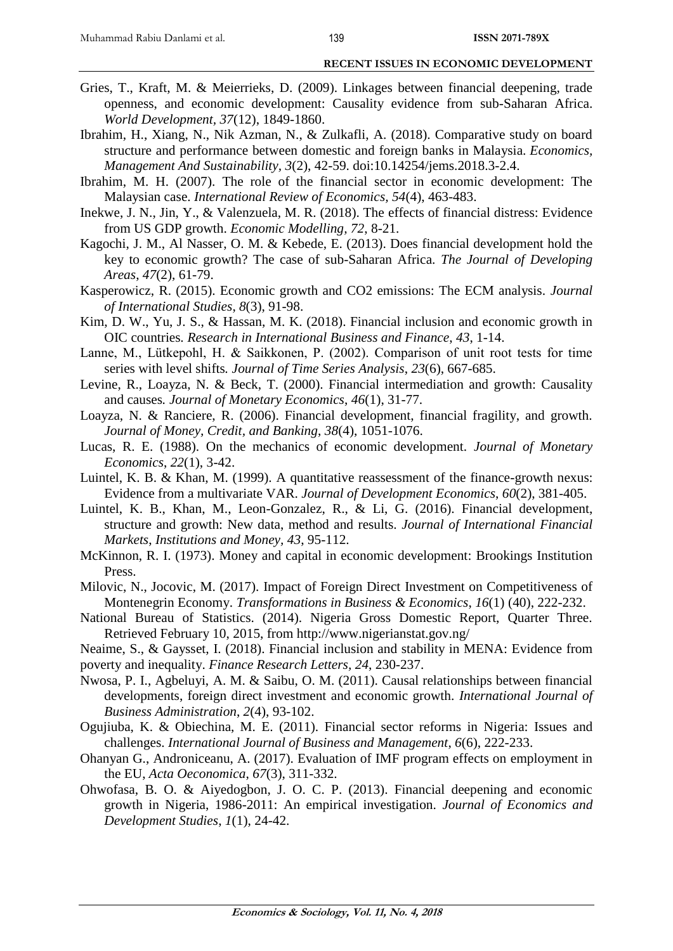- Gries, T., Kraft, M. & Meierrieks, D. (2009). Linkages between financial deepening, trade openness, and economic development: Causality evidence from sub-Saharan Africa. *World Development, 37*(12), 1849-1860.
- Ibrahim, H., Xiang, N., Nik Azman, N., & Zulkafli, A. (2018). Comparative study on board structure and performance between domestic and foreign banks in Malaysia. *Economics, Management And Sustainability, 3*(2), 42-59. doi:10.14254/jems.2018.3-2.4.
- Ibrahim, M. H. (2007). The role of the financial sector in economic development: The Malaysian case. *International Review of Economics, 54*(4), 463-483.
- Inekwe, J. N., Jin, Y., & Valenzuela, M. R. (2018). The effects of financial distress: Evidence from US GDP growth. *Economic Modelling, 72*, 8-21.
- Kagochi, J. M., Al Nasser, O. M. & Kebede, E. (2013). Does financial development hold the key to economic growth? The case of sub-Saharan Africa. *The Journal of Developing Areas*, *47*(2), 61-79.
- Kasperowicz, R. (2015). Economic growth and CO2 emissions: The ECM analysis. *Journal of International Studies*, *8*(3), 91-98.
- Kim, D. W., Yu, J. S., & Hassan, M. K. (2018). Financial inclusion and economic growth in OIC countries*. Research in International Business and Finance*, *43*, 1-14.
- Lanne, M., Lütkepohl, H. & Saikkonen, P. (2002). Comparison of unit root tests for time series with level shifts*. Journal of Time Series Analysis*, *23*(6), 667-685.
- Levine, R., Loayza, N. & Beck, T. (2000). Financial intermediation and growth: Causality and causes*. Journal of Monetary Economics*, *46*(1), 31-77.
- Loayza, N. & Ranciere, R. (2006). Financial development, financial fragility, and growth. *Journal of Money, Credit, and Banking*, *38*(4), 1051-1076.
- Lucas, R. E. (1988). On the mechanics of economic development. *Journal of Monetary Economics*, *22*(1), 3-42.
- Luintel, K. B. & Khan, M. (1999). A quantitative reassessment of the finance-growth nexus: Evidence from a multivariate VAR. *Journal of Development Economics*, *60*(2), 381-405.
- Luintel, K. B., Khan, M., Leon-Gonzalez, R., & Li, G. (2016). Financial development, structure and growth: New data, method and results. *Journal of International Financial Markets*, *Institutions and Money, 43*, 95-112.
- McKinnon, R. I. (1973). Money and capital in economic development: Brookings Institution Press.
- Milovic, N., Jocovic, M. (2017). Impact of Foreign Direct Investment on Competitiveness of Montenegrin Economy. *Transformations in Business & Economics*, *16*(1) (40), 222-232.
- National Bureau of Statistics. (2014). Nigeria Gross Domestic Report, Quarter Three. Retrieved February 10, 2015, from http://www.nigerianstat.gov.ng/
- Neaime, S., & Gaysset, I. (2018). Financial inclusion and stability in MENA: Evidence from poverty and inequality. *Finance Research Letters, 24*, 230-237.
- Nwosa, P. I., Agbeluyi, A. M. & Saibu, O. M. (2011). Causal relationships between financial developments, foreign direct investment and economic growth. *International Journal of Business Administration*, *2*(4), 93-102.
- Ogujiuba, K. & Obiechina, M. E. (2011). Financial sector reforms in Nigeria: Issues and challenges. *International Journal of Business and Management*, *6*(6), 222-233.
- Ohanyan G., Androniceanu, A. (2017). Evaluation of IMF program effects on employment in the EU, *Acta Oeconomica*, *67*(3), 311-332.
- Ohwofasa, B. O. & Aiyedogbon, J. O. C. P. (2013). Financial deepening and economic growth in Nigeria, 1986-2011: An empirical investigation. *Journal of Economics and Development Studies*, *1*(1), 24-42.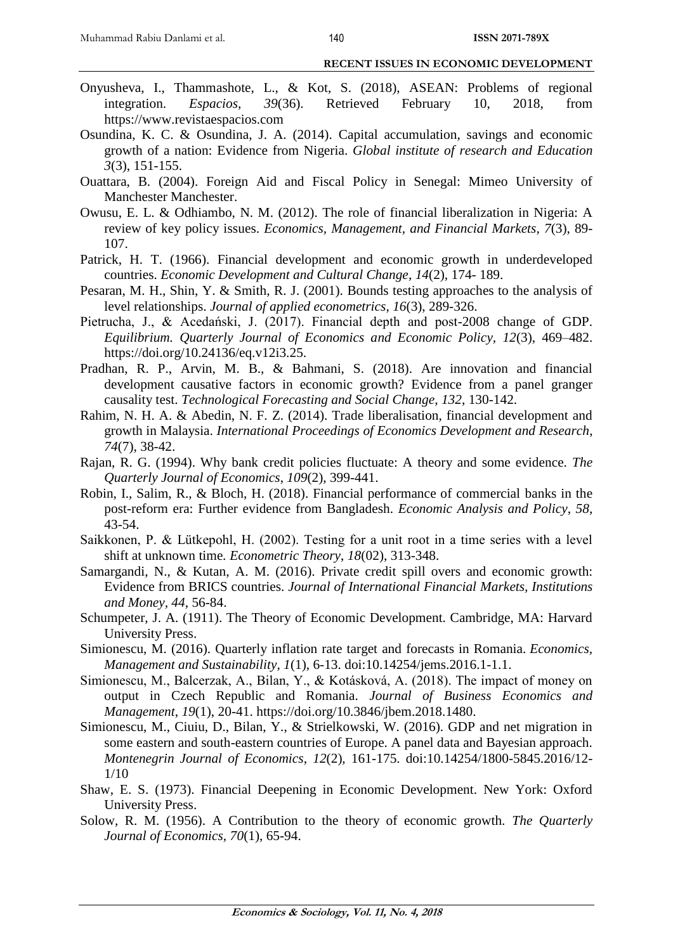- Onyusheva, I., Thammashote, L., & Kot, S. (2018), ASEAN: Problems of regional integration. *Espacios, 39*(36). Retrieved February 10, 2018, from https://www.revistaespacios.com
- Osundina, K. C. & Osundina, J. A. (2014). Capital accumulation, savings and economic growth of a nation: Evidence from Nigeria. *Global institute of research and Education 3*(3), 151-155.
- Ouattara, B. (2004). Foreign Aid and Fiscal Policy in Senegal: Mimeo University of Manchester Manchester.
- Owusu, E. L. & Odhiambo, N. M. (2012). The role of financial liberalization in Nigeria: A review of key policy issues. *Economics, Management, and Financial Markets*, *7*(3), 89- 107.
- Patrick, H. T. (1966). Financial development and economic growth in underdeveloped countries. *Economic Development and Cultural Change*, *14*(2), 174- 189.
- Pesaran, M. H., Shin, Y. & Smith, R. J. (2001). Bounds testing approaches to the analysis of level relationships. *Journal of applied econometrics*, *16*(3), 289-326.
- Pietrucha, J., & Acedański, J. (2017). Financial depth and post-2008 change of GDP. *Equilibrium. Quarterly Journal of Economics and Economic Policy, 12*(3), 469–482. https://doi.org/10.24136/eq.v12i3.25.
- Pradhan, R. P., Arvin, M. B., & Bahmani, S. (2018). Are innovation and financial development causative factors in economic growth? Evidence from a panel granger causality test. *Technological Forecasting and Social Change*, *132*, 130-142.
- Rahim, N. H. A. & Abedin, N. F. Z. (2014). Trade liberalisation, financial development and growth in Malaysia. *International Proceedings of Economics Development and Research*, *74*(7), 38-42.
- Rajan, R. G. (1994). Why bank credit policies fluctuate: A theory and some evidence. *The Quarterly Journal of Economics*, *109*(2), 399-441.
- Robin, I., Salim, R., & Bloch, H. (2018). Financial performance of commercial banks in the post-reform era: Further evidence from Bangladesh. *Economic Analysis and Policy*, *58*, 43-54.
- Saikkonen, P. & Lütkepohl, H. (2002). Testing for a unit root in a time series with a level shift at unknown time*. Econometric Theory*, *18*(02), 313-348.
- Samargandi, N., & Kutan, A. M. (2016). Private credit spill overs and economic growth: Evidence from BRICS countries. *Journal of International Financial Markets, Institutions and Money, 44*, 56-84.
- Schumpeter, J. A. (1911). The Theory of Economic Development. Cambridge, MA: Harvard University Press.
- Simionescu, M. (2016). Quarterly inflation rate target and forecasts in Romania. *Economics, Management and Sustainability, 1*(1), 6-13. doi:10.14254/jems.2016.1-1.1.
- Simionescu, M., Balcerzak, A., Bilan, Y., & Kotásková, A. (2018). The impact of money on output in Czech Republic and Romania. *Journal of Business Economics and Management*, *19*(1), 20-41. https://doi.org/10.3846/jbem.2018.1480.
- Simionescu, M., Ciuiu, D., Bilan, Y., & Strielkowski, W. (2016). GDP and net migration in some eastern and south-eastern countries of Europe. A panel data and Bayesian approach. *Montenegrin Journal of Economics*, *12*(2), 161-175. doi:10.14254/1800-5845.2016/12- 1/10
- Shaw, E. S. (1973). Financial Deepening in Economic Development. New York: Oxford University Press.
- Solow, R. M. (1956). A Contribution to the theory of economic growth. *The Quarterly Journal of Economics, 70*(1), 65-94.